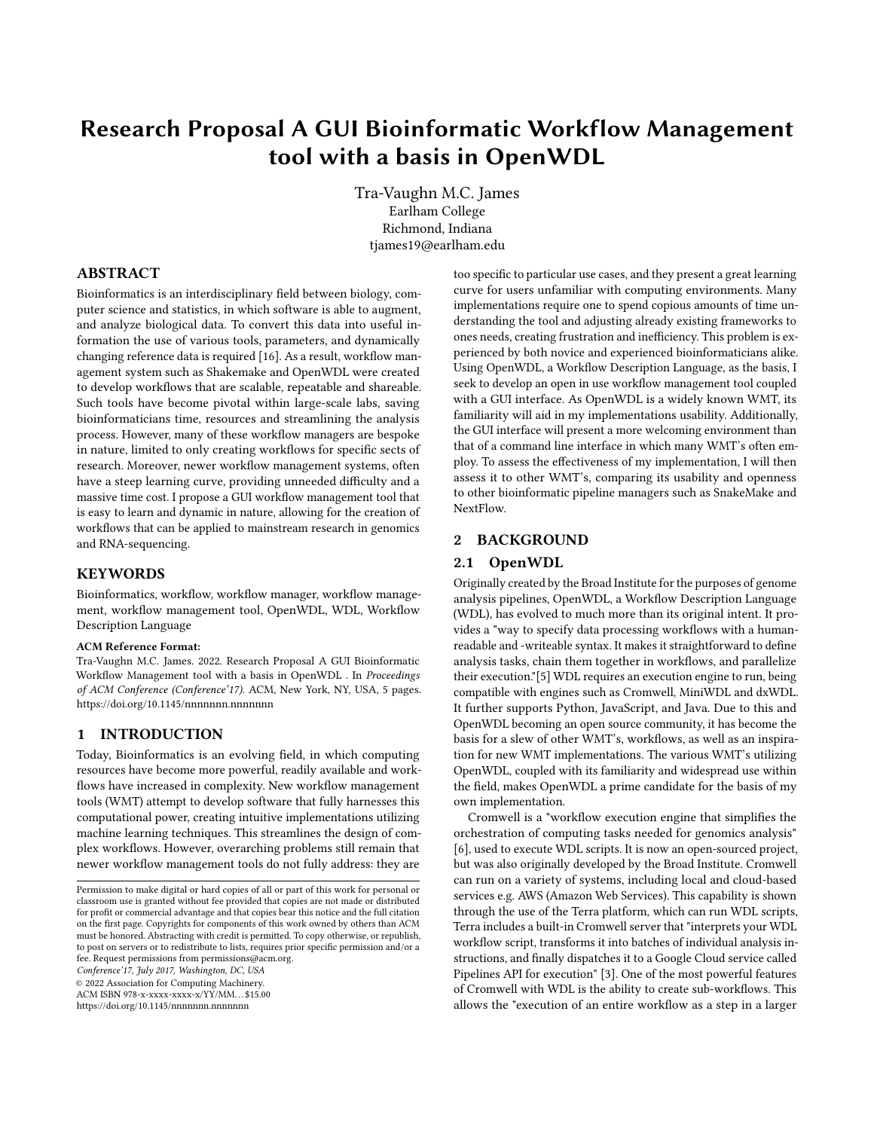# Research Proposal A GUI Bioinformatic Workflow Management tool with a basis in OpenWDL

Tra-Vaughn M.C. James Earlham College Richmond, Indiana tjames19@earlham.edu

## ABSTRACT

Bioinformatics is an interdisciplinary field between biology, computer science and statistics, in which software is able to augment, and analyze biological data. To convert this data into useful information the use of various tools, parameters, and dynamically changing reference data is required [\[16\]](#page-3-0). As a result, workflow management system such as Shakemake and OpenWDL were created to develop workflows that are scalable, repeatable and shareable. Such tools have become pivotal within large-scale labs, saving bioinformaticians time, resources and streamlining the analysis process. However, many of these workflow managers are bespoke in nature, limited to only creating workflows for specific sects of research. Moreover, newer workflow management systems, often have a steep learning curve, providing unneeded difficulty and a massive time cost. I propose a GUI workflow management tool that is easy to learn and dynamic in nature, allowing for the creation of workflows that can be applied to mainstream research in genomics and RNA-sequencing.

## **KEYWORDS**

Bioinformatics, workflow, workflow manager, workflow management, workflow management tool, OpenWDL, WDL, Workflow Description Language

#### ACM Reference Format:

Tra-Vaughn M.C. James. 2022. Research Proposal A GUI Bioinformatic Workflow Management tool with a basis in OpenWDL . In Proceedings of ACM Conference (Conference'17). ACM, New York, NY, USA, [5](#page-4-0) pages. <https://doi.org/10.1145/nnnnnnn.nnnnnnn>

## 1 INTRODUCTION

Today, Bioinformatics is an evolving field, in which computing resources have become more powerful, readily available and workflows have increased in complexity. New workflow management tools (WMT) attempt to develop software that fully harnesses this computational power, creating intuitive implementations utilizing machine learning techniques. This streamlines the design of complex workflows. However, overarching problems still remain that newer workflow management tools do not fully address: they are

Conference'17, July 2017, Washington, DC, USA

© 2022 Association for Computing Machinery.

ACM ISBN 978-x-xxxx-xxxx-x/YY/MM. . . \$15.00

<https://doi.org/10.1145/nnnnnnn.nnnnnnn>

too specific to particular use cases, and they present a great learning curve for users unfamiliar with computing environments. Many implementations require one to spend copious amounts of time understanding the tool and adjusting already existing frameworks to ones needs, creating frustration and inefficiency. This problem is experienced by both novice and experienced bioinformaticians alike. Using OpenWDL, a Workflow Description Language, as the basis, I seek to develop an open in use workflow management tool coupled with a GUI interface. As OpenWDL is a widely known WMT, its familiarity will aid in my implementations usability. Additionally, the GUI interface will present a more welcoming environment than that of a command line interface in which many WMT's often employ. To assess the effectiveness of my implementation, I will then assess it to other WMT's, comparing its usability and openness to other bioinformatic pipeline managers such as SnakeMake and NextFlow.

### 2 BACKGROUND

#### 2.1 OpenWDL

Originally created by the Broad Institute for the purposes of genome analysis pipelines, OpenWDL, a Workflow Description Language (WDL), has evolved to much more than its original intent. It provides a "way to specify data processing workflows with a humanreadable and -writeable syntax. It makes it straightforward to define analysis tasks, chain them together in workflows, and parallelize their execution."[\[5\]](#page-3-1) WDL requires an execution engine to run, being compatible with engines such as Cromwell, MiniWDL and dxWDL. It further supports Python, JavaScript, and Java. Due to this and OpenWDL becoming an open source community, it has become the basis for a slew of other WMT's, workflows, as well as an inspiration for new WMT implementations. The various WMT's utilizing OpenWDL, coupled with its familiarity and widespread use within the field, makes OpenWDL a prime candidate for the basis of my own implementation.

Cromwell is a "workflow execution engine that simplifies the orchestration of computing tasks needed for genomics analysis" [\[6\]](#page-3-2), used to execute WDL scripts. It is now an open-sourced project, but was also originally developed by the Broad Institute. Cromwell can run on a variety of systems, including local and cloud-based services e.g. AWS (Amazon Web Services). This capability is shown through the use of the Terra platform, which can run WDL scripts, Terra includes a built-in Cromwell server that "interprets your WDL workflow script, transforms it into batches of individual analysis instructions, and finally dispatches it to a Google Cloud service called Pipelines API for execution" [\[3\]](#page-3-3). One of the most powerful features of Cromwell with WDL is the ability to create sub-workflows. This allows the "execution of an entire workflow as a step in a larger

Permission to make digital or hard copies of all or part of this work for personal or classroom use is granted without fee provided that copies are not made or distributed for profit or commercial advantage and that copies bear this notice and the full citation on the first page. Copyrights for components of this work owned by others than ACM must be honored. Abstracting with credit is permitted. To copy otherwise, or republish, to post on servers or to redistribute to lists, requires prior specific permission and/or a fee. Request permissions from permissions@acm.org.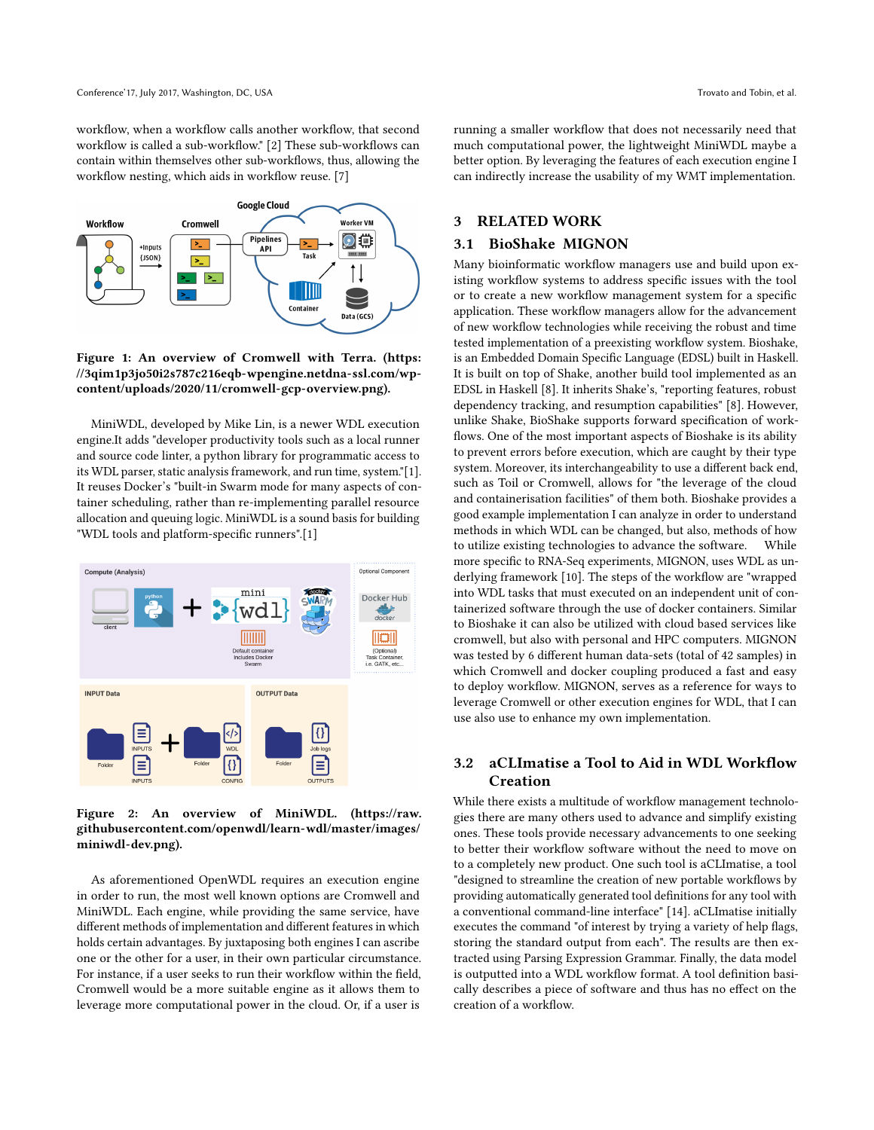workflow, when a workflow calls another workflow, that second workflow is called a sub-workflow." [\[2\]](#page-3-4) These sub-workflows can contain within themselves other sub-workflows, thus, allowing the workflow nesting, which aids in workflow reuse. [\[7\]](#page-3-5)



Figure 1: An overview of Cromwell with Terra. [\(https:](https://3qim1p3jo50i2s787c216eqb-wpengine.netdna-ssl.com/wp-content/uploads/2020/11/cromwell-gcp-overview.png) [//3qim1p3jo50i2s787c216eqb-wpengine.netdna-ssl.com/wp](https://3qim1p3jo50i2s787c216eqb-wpengine.netdna-ssl.com/wp-content/uploads/2020/11/cromwell-gcp-overview.png)[content/uploads/2020/11/cromwell-gcp-overview.png\)](https://3qim1p3jo50i2s787c216eqb-wpengine.netdna-ssl.com/wp-content/uploads/2020/11/cromwell-gcp-overview.png).

MiniWDL, developed by Mike Lin, is a newer WDL execution engine.It adds "developer productivity tools such as a local runner and source code linter, a python library for programmatic access to its WDL parser, static analysis framework, and run time, system."[\[1\]](#page-3-6). It reuses Docker's "built-in Swarm mode for many aspects of container scheduling, rather than re-implementing parallel resource allocation and queuing logic. MiniWDL is a sound basis for building "WDL tools and platform-specific runners".[\[1\]](#page-3-6)



Figure 2: An overview of MiniWDL. [\(https://raw.](https://raw.githubusercontent.com/openwdl/learn-wdl/master/images/miniwdl-dev.png) [githubusercontent.com/openwdl/learn-wdl/master/images/](https://raw.githubusercontent.com/openwdl/learn-wdl/master/images/miniwdl-dev.png) [miniwdl-dev.png\)](https://raw.githubusercontent.com/openwdl/learn-wdl/master/images/miniwdl-dev.png).

As aforementioned OpenWDL requires an execution engine in order to run, the most well known options are Cromwell and MiniWDL. Each engine, while providing the same service, have different methods of implementation and different features in which holds certain advantages. By juxtaposing both engines I can ascribe one or the other for a user, in their own particular circumstance. For instance, if a user seeks to run their workflow within the field, Cromwell would be a more suitable engine as it allows them to leverage more computational power in the cloud. Or, if a user is

running a smaller workflow that does not necessarily need that much computational power, the lightweight MiniWDL maybe a better option. By leveraging the features of each execution engine I can indirectly increase the usability of my WMT implementation.

## 3 RELATED WORK

## 3.1 BioShake MIGNON

Many bioinformatic workflow managers use and build upon existing workflow systems to address specific issues with the tool or to create a new workflow management system for a specific application. These workflow managers allow for the advancement of new workflow technologies while receiving the robust and time tested implementation of a preexisting workflow system. Bioshake, is an Embedded Domain Specific Language (EDSL) built in Haskell. It is built on top of Shake, another build tool implemented as an EDSL in Haskell [\[8\]](#page-3-7). It inherits Shake's, "reporting features, robust dependency tracking, and resumption capabilities" [\[8\]](#page-3-7). However, unlike Shake, BioShake supports forward specification of workflows. One of the most important aspects of Bioshake is its ability to prevent errors before execution, which are caught by their type system. Moreover, its interchangeability to use a different back end, such as Toil or Cromwell, allows for "the leverage of the cloud and containerisation facilities" of them both. Bioshake provides a good example implementation I can analyze in order to understand methods in which WDL can be changed, but also, methods of how to utilize existing technologies to advance the software. While more specific to RNA-Seq experiments, MIGNON, uses WDL as underlying framework [\[10\]](#page-3-8). The steps of the workflow are "wrapped into WDL tasks that must executed on an independent unit of containerized software through the use of docker containers. Similar to Bioshake it can also be utilized with cloud based services like cromwell, but also with personal and HPC computers. MIGNON was tested by 6 different human data-sets (total of 42 samples) in which Cromwell and docker coupling produced a fast and easy to deploy workflow. MIGNON, serves as a reference for ways to leverage Cromwell or other execution engines for WDL, that I can use also use to enhance my own implementation.

## 3.2 aCLImatise a Tool to Aid in WDL Workflow Creation

While there exists a multitude of workflow management technologies there are many others used to advance and simplify existing ones. These tools provide necessary advancements to one seeking to better their workflow software without the need to move on to a completely new product. One such tool is aCLImatise, a tool "designed to streamline the creation of new portable workflows by providing automatically generated tool definitions for any tool with a conventional command-line interface" [\[14\]](#page-3-9). aCLImatise initially executes the command "of interest by trying a variety of help flags, storing the standard output from each". The results are then extracted using Parsing Expression Grammar. Finally, the data model is outputted into a WDL workflow format. A tool definition basically describes a piece of software and thus has no effect on the creation of a workflow.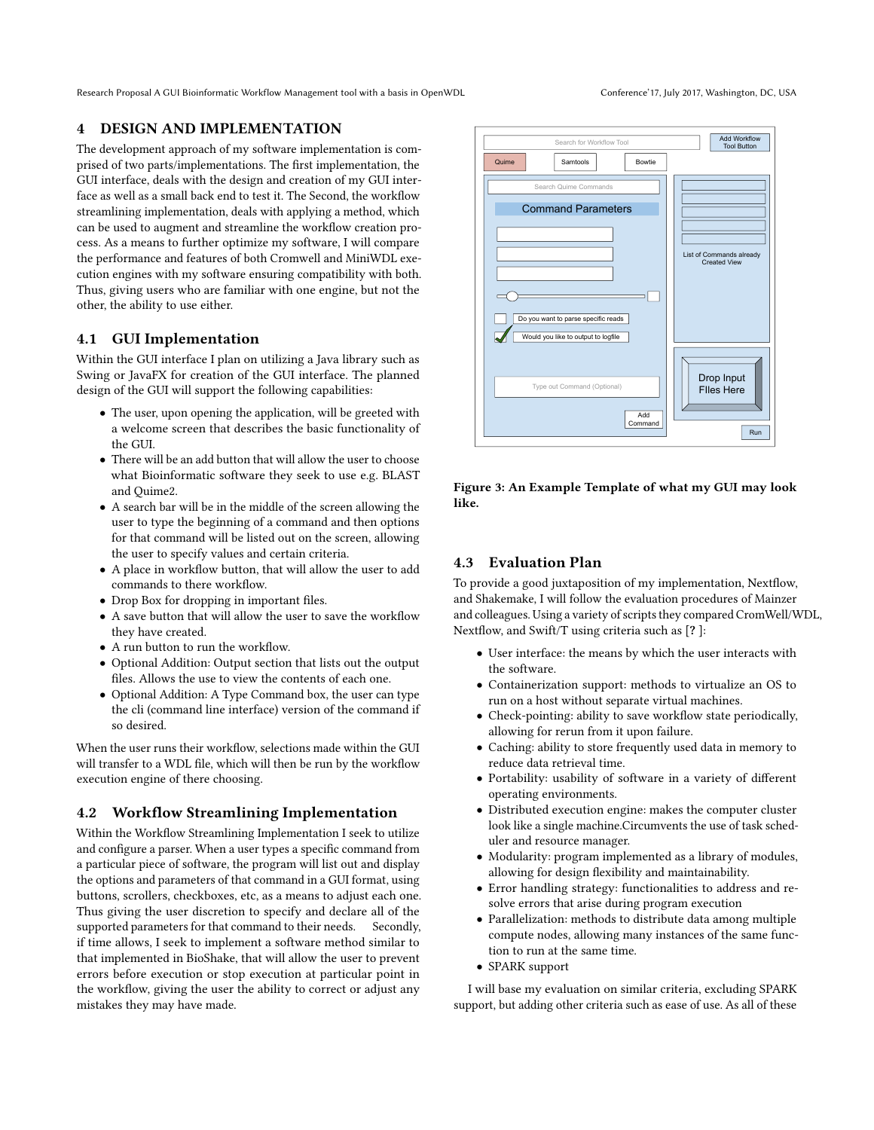Research Proposal A GUI Bioinformatic Workflow Management tool with a basis in OpenWDL Conference'17, July 2017, Washington, DC, USA

## 4 DESIGN AND IMPLEMENTATION

The development approach of my software implementation is comprised of two parts/implementations. The first implementation, the GUI interface, deals with the design and creation of my GUI interface as well as a small back end to test it. The Second, the workflow streamlining implementation, deals with applying a method, which can be used to augment and streamline the workflow creation process. As a means to further optimize my software, I will compare the performance and features of both Cromwell and MiniWDL execution engines with my software ensuring compatibility with both. Thus, giving users who are familiar with one engine, but not the other, the ability to use either.

# 4.1 GUI Implementation

Within the GUI interface I plan on utilizing a Java library such as Swing or JavaFX for creation of the GUI interface. The planned design of the GUI will support the following capabilities:

- The user, upon opening the application, will be greeted with a welcome screen that describes the basic functionality of the GUI.
- There will be an add button that will allow the user to choose what Bioinformatic software they seek to use e.g. BLAST and Quime2.
- A search bar will be in the middle of the screen allowing the user to type the beginning of a command and then options for that command will be listed out on the screen, allowing the user to specify values and certain criteria.
- A place in workflow button, that will allow the user to add commands to there workflow.
- Drop Box for dropping in important files.
- A save button that will allow the user to save the workflow they have created.
- A run button to run the workflow.
- Optional Addition: Output section that lists out the output files. Allows the use to view the contents of each one.
- Optional Addition: A Type Command box, the user can type the cli (command line interface) version of the command if so desired.

When the user runs their workflow, selections made within the GUI will transfer to a WDL file, which will then be run by the workflow execution engine of there choosing.

# 4.2 Workflow Streamlining Implementation

Within the Workflow Streamlining Implementation I seek to utilize and configure a parser. When a user types a specific command from a particular piece of software, the program will list out and display the options and parameters of that command in a GUI format, using buttons, scrollers, checkboxes, etc, as a means to adjust each one. Thus giving the user discretion to specify and declare all of the supported parameters for that command to their needs. Secondly, if time allows, I seek to implement a software method similar to that implemented in BioShake, that will allow the user to prevent errors before execution or stop execution at particular point in the workflow, giving the user the ability to correct or adjust any mistakes they may have made.



Figure 3: An Example Template of what my GUI may look like.

## 4.3 Evaluation Plan

To provide a good juxtaposition of my implementation, Nextflow, and Shakemake, I will follow the evaluation procedures of Mainzer and colleagues. Using a variety of scripts they compared CromWell/WDL, Nextflow, and Swift/T using criteria such as [? ]:

- User interface: the means by which the user interacts with the software.
- Containerization support: methods to virtualize an OS to run on a host without separate virtual machines.
- Check-pointing: ability to save workflow state periodically, allowing for rerun from it upon failure.
- Caching: ability to store frequently used data in memory to reduce data retrieval time.
- Portability: usability of software in a variety of different operating environments.
- Distributed execution engine: makes the computer cluster look like a single machine.Circumvents the use of task scheduler and resource manager.
- Modularity: program implemented as a library of modules, allowing for design flexibility and maintainability.
- Error handling strategy: functionalities to address and resolve errors that arise during program execution
- Parallelization: methods to distribute data among multiple compute nodes, allowing many instances of the same function to run at the same time.
- SPARK support

I will base my evaluation on similar criteria, excluding SPARK support, but adding other criteria such as ease of use. As all of these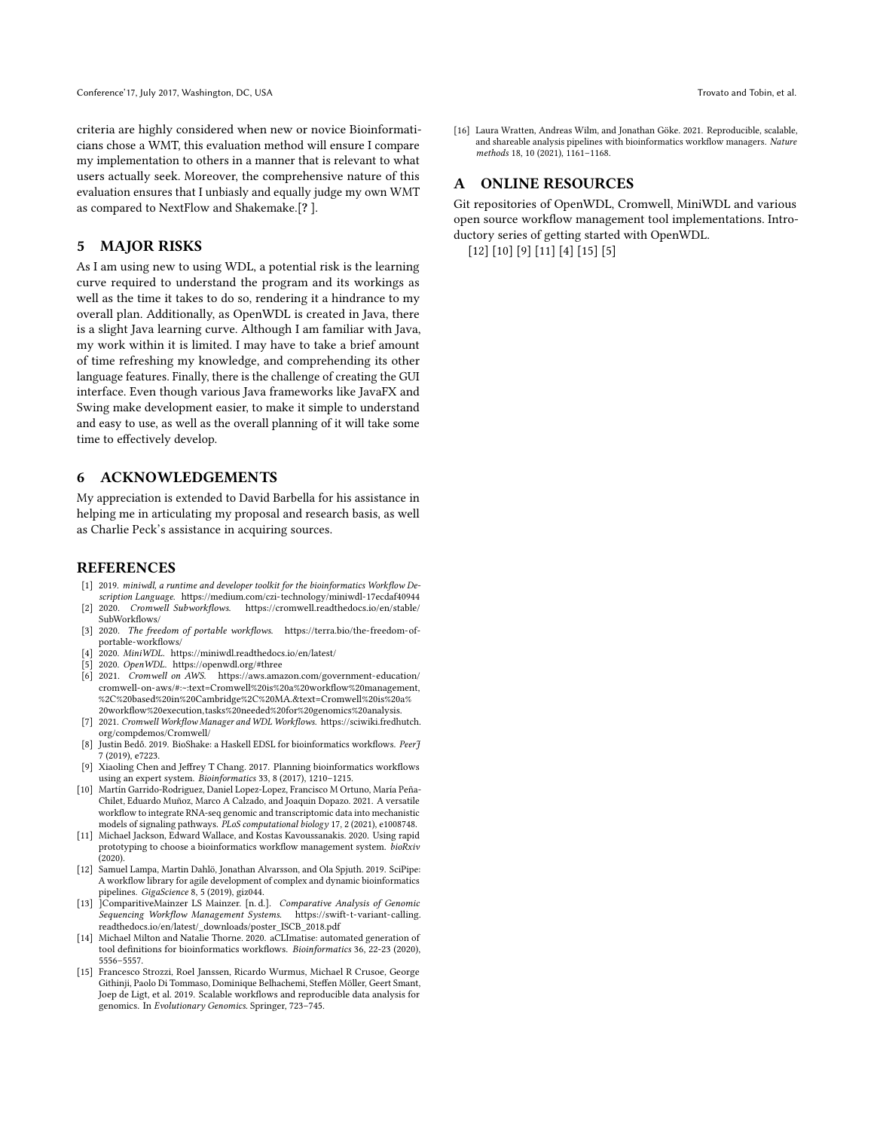criteria are highly considered when new or novice Bioinformaticians chose a WMT, this evaluation method will ensure I compare my implementation to others in a manner that is relevant to what users actually seek. Moreover, the comprehensive nature of this evaluation ensures that I unbiasly and equally judge my own WMT as compared to NextFlow and Shakemake.[? ].

## 5 MAJOR RISKS

As I am using new to using WDL, a potential risk is the learning curve required to understand the program and its workings as well as the time it takes to do so, rendering it a hindrance to my overall plan. Additionally, as OpenWDL is created in Java, there is a slight Java learning curve. Although I am familiar with Java, my work within it is limited. I may have to take a brief amount of time refreshing my knowledge, and comprehending its other language features. Finally, there is the challenge of creating the GUI interface. Even though various Java frameworks like JavaFX and Swing make development easier, to make it simple to understand and easy to use, as well as the overall planning of it will take some time to effectively develop.

## 6 ACKNOWLEDGEMENTS

My appreciation is extended to David Barbella for his assistance in helping me in articulating my proposal and research basis, as well as Charlie Peck's assistance in acquiring sources.

#### REFERENCES

- <span id="page-3-6"></span>[1] 2019. miniwdl, a runtime and developer toolkit for the bioinformatics Workflow De-
- <span id="page-3-4"></span>scription Language.<https://medium.com/czi-technology/miniwdl-17ecdaf40944> [2] 2020. Cromwell Subworkflows. [https://cromwell.readthedocs.io/en/stable/](https://cromwell.readthedocs.io/en/stable/SubWorkflows/) [SubWorkflows/](https://cromwell.readthedocs.io/en/stable/SubWorkflows/)
- <span id="page-3-3"></span>[3] 2020. The freedom of portable workflows. [https://terra.bio/the-freedom-of](https://terra.bio/the-freedom-of-portable-workflows/)[portable-workflows/](https://terra.bio/the-freedom-of-portable-workflows/)
- <span id="page-3-13"></span>[4] 2020. MiniWDL.<https://miniwdl.readthedocs.io/en/latest/>
- <span id="page-3-1"></span>[5] 2020. OpenWDL.<https://openwdl.org/#three>
- <span id="page-3-2"></span>[6] 2021. Cromwell on AWS. [https://aws.amazon.com/government-education/](https://aws.amazon.com/government-education/cromwell-on-aws/#:~:text=Cromwell%20is%20a%20workflow%20management,%2C%20based%20in%20Cambridge%2C%20MA.&text=Cromwell%20is%20a%20workflow%20execution,tasks%20needed%20for%20genomics%20analysis.) [cromwell-on-aws/#:~:text=Cromwell%20is%20a%20workflow%20management,](https://aws.amazon.com/government-education/cromwell-on-aws/#:~:text=Cromwell%20is%20a%20workflow%20management,%2C%20based%20in%20Cambridge%2C%20MA.&text=Cromwell%20is%20a%20workflow%20execution,tasks%20needed%20for%20genomics%20analysis.) [%2C%20based%20in%20Cambridge%2C%20MA.&text=Cromwell%20is%20a%](https://aws.amazon.com/government-education/cromwell-on-aws/#:~:text=Cromwell%20is%20a%20workflow%20management,%2C%20based%20in%20Cambridge%2C%20MA.&text=Cromwell%20is%20a%20workflow%20execution,tasks%20needed%20for%20genomics%20analysis.) [20workflow%20execution,tasks%20needed%20for%20genomics%20analysis.](https://aws.amazon.com/government-education/cromwell-on-aws/#:~:text=Cromwell%20is%20a%20workflow%20management,%2C%20based%20in%20Cambridge%2C%20MA.&text=Cromwell%20is%20a%20workflow%20execution,tasks%20needed%20for%20genomics%20analysis.)
- <span id="page-3-5"></span>[7] 2021. Cromwell Workflow Manager and WDL Workflows. [https://sciwiki.fredhutch.](https://sciwiki.fredhutch.org/compdemos/Cromwell/) [org/compdemos/Cromwell/](https://sciwiki.fredhutch.org/compdemos/Cromwell/)
- <span id="page-3-7"></span>[8] Justin Bedő. 2019. BioShake: a Haskell EDSL for bioinformatics workflows. PeerJ 7 (2019), e7223.
- <span id="page-3-11"></span>[9] Xiaoling Chen and Jeffrey T Chang. 2017. Planning bioinformatics workflows using an expert system. Bioinformatics 33, 8 (2017), 1210–1215.
- <span id="page-3-8"></span>[10] Martín Garrido-Rodriguez, Daniel Lopez-Lopez, Francisco M Ortuno, María Peña-Chilet, Eduardo Muñoz, Marco A Calzado, and Joaquin Dopazo. 2021. A versatile workflow to integrate RNA-seq genomic and transcriptomic data into mechanistic models of signaling pathways. PLoS computational biology 17, 2 (2021), e1008748.
- <span id="page-3-12"></span>[11] Michael Jackson, Edward Wallace, and Kostas Kavoussanakis. 2020. Using rapid prototyping to choose a bioinformatics workflow management system. bioRxiv (2020).
- <span id="page-3-10"></span>[12] Samuel Lampa, Martin Dahlö, Jonathan Alvarsson, and Ola Spjuth. 2019. SciPipe: A workflow library for agile development of complex and dynamic bioinformatics
- pipelines. GigaScience 8, 5 (2019), giz044.<br>
[13] ComparitiveMainzer LS Mainzer. [n. d.]. Comparative Analysis of Genomic Sequencing Workflow Management Systems. [https://swift-t-variant-calling.](https://swift-t-variant-calling.readthedocs.io/en/latest/_downloads/poster_ISCB_2018.pdf) [readthedocs.io/en/latest/\\_downloads/poster\\_ISCB\\_2018.pdf](https://swift-t-variant-calling.readthedocs.io/en/latest/_downloads/poster_ISCB_2018.pdf)
- <span id="page-3-9"></span>[14] Michael Milton and Natalie Thorne. 2020. aCLImatise: automated generation of tool definitions for bioinformatics workflows. Bioinformatics 36, 22-23 (2020), 5556–5557.
- <span id="page-3-14"></span>[15] Francesco Strozzi, Roel Janssen, Ricardo Wurmus, Michael R Crusoe, George Githinji, Paolo Di Tommaso, Dominique Belhachemi, Steffen Möller, Geert Smant, Joep de Ligt, et al. 2019. Scalable workflows and reproducible data analysis for genomics. In Evolutionary Genomics. Springer, 723–745.

<span id="page-3-0"></span>[16] Laura Wratten, Andreas Wilm, and Jonathan Göke. 2021. Reproducible, scalable, and shareable analysis pipelines with bioinformatics workflow managers. Nature methods 18, 10 (2021), 1161–1168.

## A ONLINE RESOURCES

Git repositories of OpenWDL, Cromwell, MiniWDL and various open source workflow management tool implementations. Introductory series of getting started with OpenWDL. [\[12\]](#page-3-10) [\[10\]](#page-3-8) [\[9\]](#page-3-11) [\[11\]](#page-3-12) [\[4\]](#page-3-13) [\[15\]](#page-3-14) [\[5\]](#page-3-1)